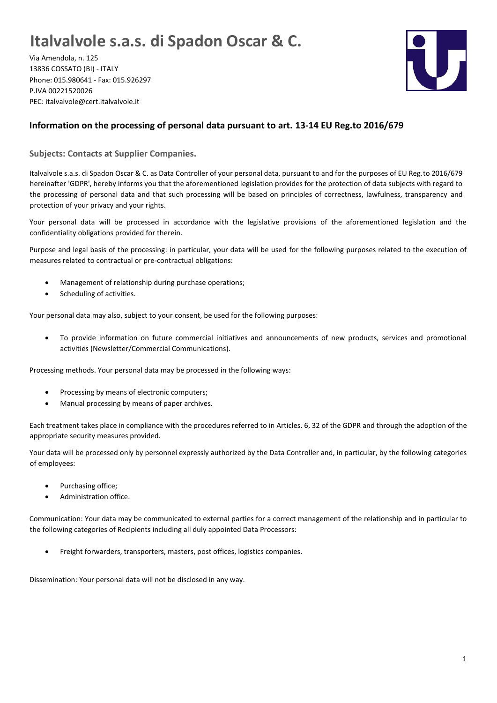## **Italvalvole s.a.s. di Spadon Oscar & C.**

Via Amendola, n. 125 13836 COSSATO (BI) - ITALY Phone: 015.980641 - Fax: 015.926297 P.IVA 00221520026 PEC: italvalvole@cert.italvalvole.it



## **Information on the processing of personal data pursuant to art. 13-14 EU Reg.to 2016/679**

**Subjects: Contacts at Supplier Companies.**

Italvalvole s.a.s. di Spadon Oscar & C. as Data Controller of your personal data, pursuant to and for the purposes of EU Reg.to 2016/679 hereinafter 'GDPR', hereby informs you that the aforementioned legislation provides for the protection of data subjects with regard to the processing of personal data and that such processing will be based on principles of correctness, lawfulness, transparency and protection of your privacy and your rights.

Your personal data will be processed in accordance with the legislative provisions of the aforementioned legislation and the confidentiality obligations provided for therein.

Purpose and legal basis of the processing: in particular, your data will be used for the following purposes related to the execution of measures related to contractual or pre-contractual obligations:

- Management of relationship during purchase operations;
- Scheduling of activities.

Your personal data may also, subject to your consent, be used for the following purposes:

• To provide information on future commercial initiatives and announcements of new products, services and promotional activities (Newsletter/Commercial Communications).

Processing methods. Your personal data may be processed in the following ways:

- Processing by means of electronic computers;
- Manual processing by means of paper archives.

Each treatment takes place in compliance with the procedures referred to in Articles. 6, 32 of the GDPR and through the adoption of the appropriate security measures provided.

Your data will be processed only by personnel expressly authorized by the Data Controller and, in particular, by the following categories of employees:

- Purchasing office;
- Administration office.

Communication: Your data may be communicated to external parties for a correct management of the relationship and in particular to the following categories of Recipients including all duly appointed Data Processors:

• Freight forwarders, transporters, masters, post offices, logistics companies.

Dissemination: Your personal data will not be disclosed in any way.